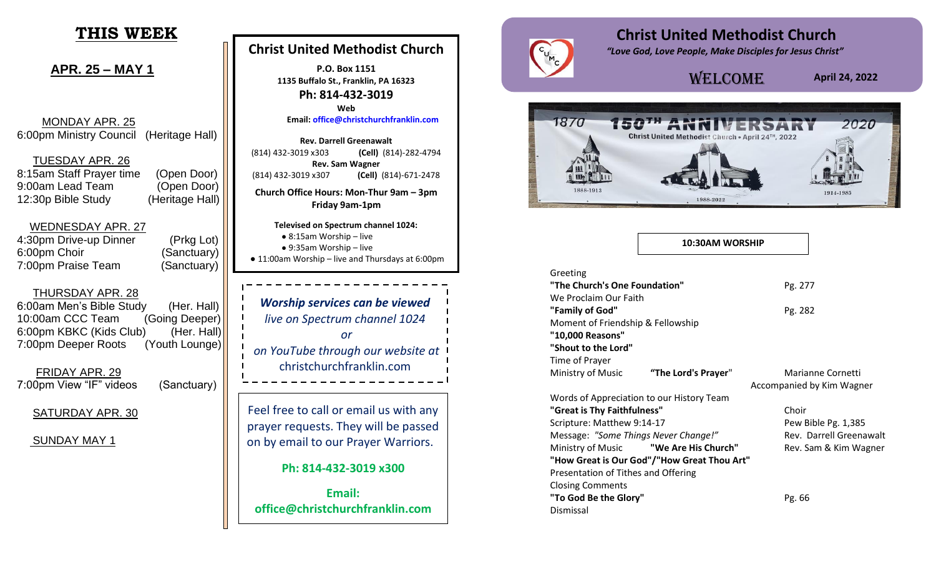# **THIS WEEK**

**APR. 25 – MAY 1**

 MONDAY APR. 25 6:00pm Ministry Council (Heritage Hall)

TUESDAY APR. 26

8:15am Staff Prayer time (Open Door) 9:00am Lead Team (Open Door) 12:30p Bible Study (Heritage Hall)

 WEDNESDAY APR. 27 4:30pm Drive-up Dinner (Prkg Lot) 6:00pm Choir (Sanctuary) 7:00pm Praise Team (Sanctuary)

THURSDAY APR. 28

6:00am Men's Bible Study (Her. Hall) 10:00am CCC Team (Going Deeper) 6:00pm KBKC (Kids Club) (Her. Hall) 7:00pm Deeper Roots (Youth Lounge)

 FRIDAY APR. 29 7:00pm View "IF" videos (Sanctuary)

SATURDAY APR. 30

SUNDAY MAY 1

## **Christ United Methodist Church**

**P.O. Box 1151 1135 Buffalo St., Franklin, PA 16323 Ph: 814-432-3019 Web**

**Email: [office@christchurchfranklin.com](mailto:office@christchurchfranklin.com)**

**Rev. Darrell Greenawalt** (814) 432-3019 x303 **(Cell)** (814)-282-4794 **Rev. Sam Wagner** (814) 432-3019 x307 **(Cell)** (814)-671-2478 **Church Office Hours: Mon-Thur 9am – 3pm Friday 9am-1pm**

**Televised on Spectrum channel 1024:** ● 8:15am Worship – live ● 9:35am Worship – live

● 11:00am Worship – live and Thursdays at 6:00pm

*Worship services can be viewed live on Spectrum channel 1024 or on YouTube through our website at*  christchurchfranklin.com

Feel free to call or email us with any prayer requests. They will be passed on by email to our Prayer Warriors.

#### **Ph: 814-432-3019 x300**

**Email: office@christchurchfranklin.com**



# **Christ United Methodist Church**

 *"Love God, Love People, Make Disciples for Jesus Christ"*

# Welcome

**April 24, 2022** 



#### **10:30AM WORSHIP**

| Greeting                             |                                             |                           |
|--------------------------------------|---------------------------------------------|---------------------------|
| "The Church's One Foundation"        |                                             | Pg. 277                   |
| We Proclaim Our Faith                |                                             |                           |
| "Family of God"                      |                                             | Pg. 282                   |
| Moment of Friendship & Fellowship    |                                             |                           |
| "10,000 Reasons"                     |                                             |                           |
| "Shout to the Lord"                  |                                             |                           |
| Time of Prayer                       |                                             |                           |
| Ministry of Music                    | "The Lord's Prayer"                         | Marianne Cornetti         |
|                                      |                                             | Accompanied by Kim Wagner |
|                                      | Words of Appreciation to our History Team   |                           |
| "Great is Thy Faithfulness"          |                                             | Choir                     |
| Scripture: Matthew 9:14-17           |                                             | Pew Bible Pg. 1,385       |
| Message: "Some Things Never Change!" |                                             | Rev. Darrell Greenawalt   |
|                                      | Ministry of Music <b>We Are His Church"</b> | Rev. Sam & Kim Wagner     |
|                                      | "How Great is Our God"/"How Great Thou Art" |                           |
| Presentation of Tithes and Offering  |                                             |                           |
| <b>Closing Comments</b>              |                                             |                           |
| "To God Be the Glory"                |                                             | Pg. 66                    |
| Dismissal                            |                                             |                           |